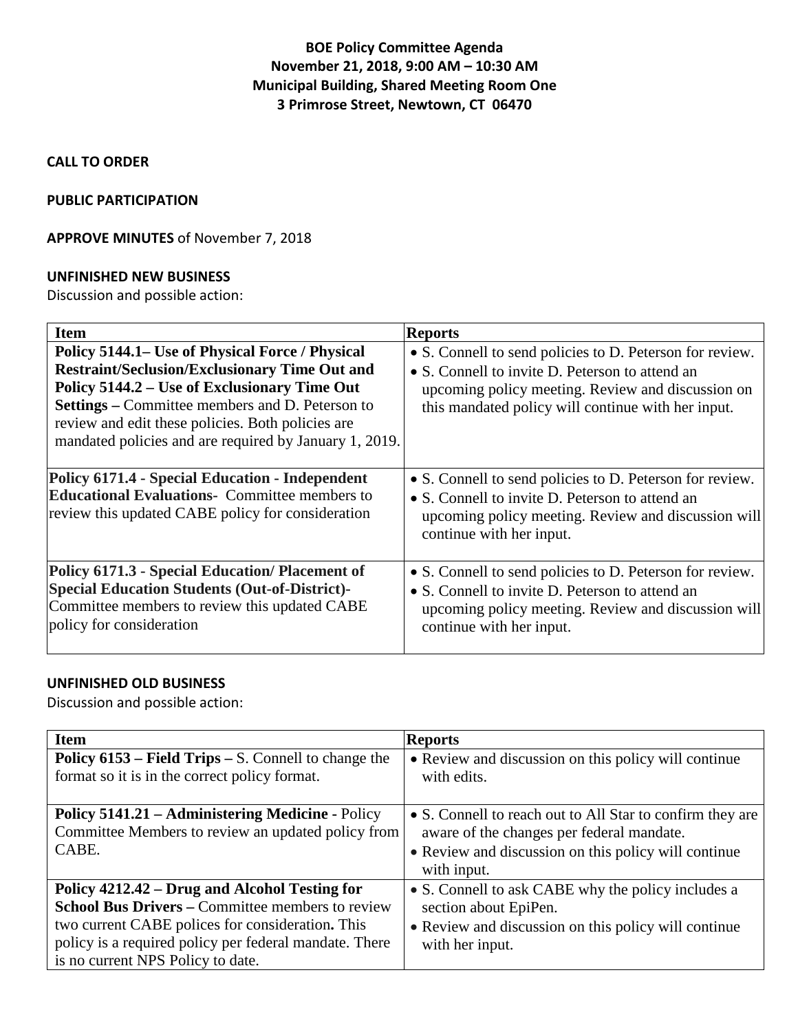# **BOE Policy Committee Agenda November 21, 2018, 9:00 AM – 10:30 AM Municipal Building, Shared Meeting Room One 3 Primrose Street, Newtown, CT 06470**

### **CALL TO ORDER**

#### **PUBLIC PARTICIPATION**

#### **APPROVE MINUTES** of November 7, 2018

#### **UNFINISHED NEW BUSINESS**

Discussion and possible action:

| <b>Item</b>                                                                                                                                                                                                                                                                                                                      | <b>Reports</b>                                                                                                                                                                                                         |
|----------------------------------------------------------------------------------------------------------------------------------------------------------------------------------------------------------------------------------------------------------------------------------------------------------------------------------|------------------------------------------------------------------------------------------------------------------------------------------------------------------------------------------------------------------------|
| Policy 5144.1– Use of Physical Force / Physical<br><b>Restraint/Seclusion/Exclusionary Time Out and</b><br>Policy 5144.2 – Use of Exclusionary Time Out<br><b>Settings</b> – Committee members and D. Peterson to<br>review and edit these policies. Both policies are<br>mandated policies and are required by January 1, 2019. | • S. Connell to send policies to D. Peterson for review.<br>• S. Connell to invite D. Peterson to attend an<br>upcoming policy meeting. Review and discussion on<br>this mandated policy will continue with her input. |
| Policy 6171.4 - Special Education - Independent<br><b>Educational Evaluations-</b> Committee members to<br>review this updated CABE policy for consideration                                                                                                                                                                     | • S. Connell to send policies to D. Peterson for review.<br>• S. Connell to invite D. Peterson to attend an<br>upcoming policy meeting. Review and discussion will<br>continue with her input.                         |
| Policy 6171.3 - Special Education/ Placement of<br><b>Special Education Students (Out-of-District)-</b><br>Committee members to review this updated CABE<br>policy for consideration                                                                                                                                             | • S. Connell to send policies to D. Peterson for review.<br>• S. Connell to invite D. Peterson to attend an<br>upcoming policy meeting. Review and discussion will<br>continue with her input.                         |

### **UNFINISHED OLD BUSINESS**

Discussion and possible action:

| <b>Item</b>                                                                                                                                                                                                                                                 | <b>Reports</b>                                                                                                                                                                |
|-------------------------------------------------------------------------------------------------------------------------------------------------------------------------------------------------------------------------------------------------------------|-------------------------------------------------------------------------------------------------------------------------------------------------------------------------------|
| Policy 6153 – Field Trips – S. Connell to change the<br>format so it is in the correct policy format.                                                                                                                                                       | • Review and discussion on this policy will continue<br>with edits.                                                                                                           |
| <b>Policy 5141.21 – Administering Medicine - Policy</b><br>Committee Members to review an updated policy from<br>CABE.                                                                                                                                      | • S. Connell to reach out to All Star to confirm they are<br>aware of the changes per federal mandate.<br>• Review and discussion on this policy will continue<br>with input. |
| Policy 4212.42 – Drug and Alcohol Testing for<br><b>School Bus Drivers – Committee members to review</b><br>two current CABE polices for consideration. This<br>policy is a required policy per federal mandate. There<br>is no current NPS Policy to date. | • S. Connell to ask CABE why the policy includes a<br>section about EpiPen.<br>• Review and discussion on this policy will continue<br>with her input.                        |